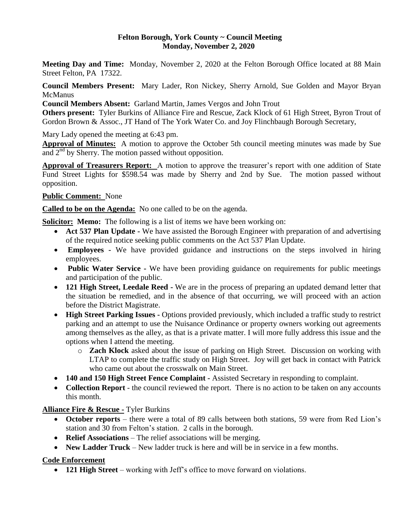### **Felton Borough, York County ~ Council Meeting Monday, November 2, 2020**

**Meeting Day and Time:** Monday, November 2, 2020 at the Felton Borough Office located at 88 Main Street Felton, PA 17322.

**Council Members Present:** Mary Lader, Ron Nickey, Sherry Arnold, Sue Golden and Mayor Bryan **McManus** 

**Council Members Absent:** Garland Martin, James Vergos and John Trout

**Others present:** Tyler Burkins of Alliance Fire and Rescue, Zack Klock of 61 High Street, Byron Trout of Gordon Brown & Assoc., JT Hand of The York Water Co. and Joy Flinchbaugh Borough Secretary,

Mary Lady opened the meeting at 6:43 pm.

**Approval of Minutes:** A motion to approve the October 5th council meeting minutes was made by Sue and  $2<sup>nd</sup>$  by Sherry. The motion passed without opposition.

**Approval of Treasurers Report:** A motion to approve the treasurer's report with one addition of State Fund Street Lights for \$598.54 was made by Sherry and 2nd by Sue. The motion passed without opposition.

## **Public Comment:** None

**Called to be on the Agenda:** No one called to be on the agenda.

**Solicitor:** Memo: The following is a list of items we have been working on:

- **Act 537 Plan Update -** We have assisted the Borough Engineer with preparation of and advertising of the required notice seeking public comments on the Act 537 Plan Update.
- **Employees -** We have provided guidance and instructions on the steps involved in hiring employees.
- **Public Water Service -** We have been providing guidance on requirements for public meetings and participation of the public.
- **121 High Street, Leedale Reed -** We are in the process of preparing an updated demand letter that the situation be remedied, and in the absence of that occurring, we will proceed with an action before the District Magistrate.
- **High Street Parking Issues -** Options provided previously, which included a traffic study to restrict parking and an attempt to use the Nuisance Ordinance or property owners working out agreements among themselves as the alley, as that is a private matter. I will more fully address this issue and the options when I attend the meeting.
	- o **Zach Klock** asked about the issue of parking on High Street. Discussion on working with LTAP to complete the traffic study on High Street. Joy will get back in contact with Patrick who came out about the crosswalk on Main Street.
- **140 and 150 High Street Fence Complaint -** Assisted Secretary in responding to complaint.
- **Collection Report** the council reviewed the report. There is no action to be taken on any accounts this month.

**Alliance Fire & Rescue -** Tyler Burkins

- **October reports**  there were a total of 89 calls between both stations, 59 were from Red Lion's station and 30 from Felton's station. 2 calls in the borough.
- **Relief Associations** The relief associations will be merging.
- **New Ladder Truck**  New ladder truck is here and will be in service in a few months.

## **Code Enforcement**

• **121 High Street** – working with Jeff's office to move forward on violations.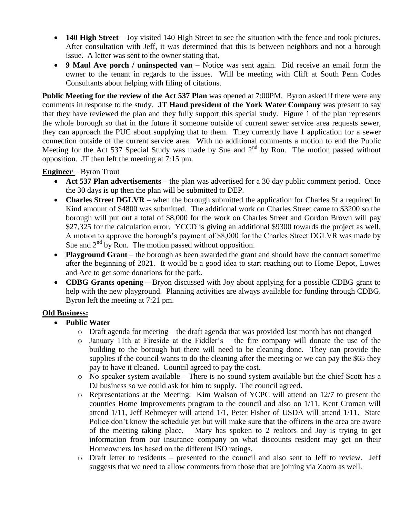- **140 High Street**  Joy visited 140 High Street to see the situation with the fence and took pictures. After consultation with Jeff, it was determined that this is between neighbors and not a borough issue. A letter was sent to the owner stating that.
- **9 Maul Ave porch / uninspected van**  Notice was sent again. Did receive an email form the owner to the tenant in regards to the issues. Will be meeting with Cliff at South Penn Codes Consultants about helping with filing of citations.

**Public Meeting for the review of the Act 537 Plan** was opened at 7:00PM. Byron asked if there were any comments in response to the study. **JT Hand president of the York Water Company** was present to say that they have reviewed the plan and they fully support this special study. Figure 1 of the plan represents the whole borough so that in the future if someone outside of current sewer service area requests sewer, they can approach the PUC about supplying that to them. They currently have 1 application for a sewer connection outside of the current service area. With no additional comments a motion to end the Public Meeting for the Act 537 Special Study was made by Sue and  $2<sup>nd</sup>$  by Ron. The motion passed without opposition. JT then left the meeting at 7:15 pm.

## **Engineer** – Byron Trout

- **Act 537 Plan advertisements** the plan was advertised for a 30 day public comment period. Once the 30 days is up then the plan will be submitted to DEP.
- **Charles Street DGLVR** when the borough submitted the application for Charles St a required In Kind amount of \$4800 was submitted. The additional work on Charles Street came to \$3200 so the borough will put out a total of \$8,000 for the work on Charles Street and Gordon Brown will pay \$27,325 for the calculation error. YCCD is giving an additional \$9300 towards the project as well. A motion to approve the borough's payment of \$8,000 for the Charles Street DGLVR was made by Sue and  $2<sup>nd</sup>$  by Ron. The motion passed without opposition.
- **Playground Grant** the borough as been awarded the grant and should have the contract sometime after the beginning of 2021. It would be a good idea to start reaching out to Home Depot, Lowes and Ace to get some donations for the park.
- **CDBG Grants opening**  Bryon discussed with Joy about applying for a possible CDBG grant to help with the new playground. Planning activities are always available for funding through CDBG. Byron left the meeting at 7:21 pm.

# **Old Business:**

- **Public Water** 
	- o Draft agenda for meeting the draft agenda that was provided last month has not changed
	- o January 11th at Fireside at the Fiddler's the fire company will donate the use of the building to the borough but there will need to be cleaning done. They can provide the supplies if the council wants to do the cleaning after the meeting or we can pay the \$65 they pay to have it cleaned. Council agreed to pay the cost.
	- o No speaker system available There is no sound system available but the chief Scott has a DJ business so we could ask for him to supply. The council agreed.
	- o Representations at the Meeting: Kim Walson of YCPC will attend on 12/7 to present the counties Home Improvements program to the council and also on 1/11, Kent Croman will attend 1/11, Jeff Rehmeyer will attend 1/1, Peter Fisher of USDA will attend 1/11. State Police don't know the schedule yet but will make sure that the officers in the area are aware of the meeting taking place. Mary has spoken to 2 realtors and Joy is trying to get information from our insurance company on what discounts resident may get on their Homeowners Ins based on the different ISO ratings.
	- o Draft letter to residents presented to the council and also sent to Jeff to review. Jeff suggests that we need to allow comments from those that are joining via Zoom as well.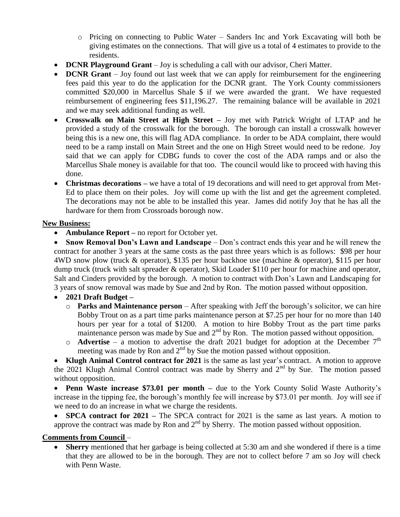- o Pricing on connecting to Public Water Sanders Inc and York Excavating will both be giving estimates on the connections. That will give us a total of 4 estimates to provide to the residents.
- **DCNR Playground Grant** Joy is scheduling a call with our advisor, Cheri Matter.
- **DCNR Grant** Joy found out last week that we can apply for reimbursement for the engineering fees paid this year to do the application for the DCNR grant. The York County commissioners committed \$20,000 in Marcellus Shale \$ if we were awarded the grant. We have requested reimbursement of engineering fees \$11,196.27. The remaining balance will be available in 2021 and we may seek additional funding as well.
- **Crosswalk on Main Street at High Street –** Joy met with Patrick Wright of LTAP and he provided a study of the crosswalk for the borough. The borough can install a crosswalk however being this is a new one, this will flag ADA compliance. In order to be ADA complaint, there would need to be a ramp install on Main Street and the one on High Street would need to be redone. Joy said that we can apply for CDBG funds to cover the cost of the ADA ramps and or also the Marcellus Shale money is available for that too. The council would like to proceed with having this done.
- **Christmas decorations** we have a total of 19 decorations and will need to get approval from Met-Ed to place them on their poles. Joy will come up with the list and get the agreement completed. The decorations may not be able to be installed this year. James did notify Joy that he has all the hardware for them from Crossroads borough now.

# **New Business:**

• **Ambulance Report** – no report for October yet.

• Snow Removal Don's Lawn and Landscape – Don's contract ends this year and he will renew the contract for another 3 years at the same costs as the past three years which is as follows: \$98 per hour 4WD snow plow (truck & operator), \$135 per hour backhoe use (machine & operator), \$115 per hour dump truck (truck with salt spreader & operator), Skid Loader \$110 per hour for machine and operator, Salt and Cinders provided by the borough. A motion to contract with Don's Lawn and Landscaping for 3 years of snow removal was made by Sue and 2nd by Ron. The motion passed without opposition.

- **2021 Draft Budget –**
	- o **Parks and Maintenance person**  After speaking with Jeff the borough's solicitor, we can hire Bobby Trout on as a part time parks maintenance person at \$7.25 per hour for no more than 140 hours per year for a total of \$1200. A motion to hire Bobby Trout as the part time parks maintenance person was made by Sue and  $2<sup>nd</sup>$  by Ron. The motion passed without opposition.
	- $\circ$  **Advertise** a motion to advertise the draft 2021 budget for adoption at the December 7<sup>th</sup> meeting was made by Ron and  $2<sup>nd</sup>$  by Sue the motion passed without opposition.

 **Klugh Animal Control contract for 2021** is the same as last year's contract. A motion to approve the 2021 Klugh Animal Control contract was made by Sherry and 2<sup>nd</sup> by Sue. The motion passed without opposition.

• **Penn Waste increase \$73.01 per month** – due to the York County Solid Waste Authority's increase in the tipping fee, the borough's monthly fee will increase by \$73.01 per month. Joy will see if we need to do an increase in what we charge the residents.

• **SPCA contract for 2021** – The SPCA contract for 2021 is the same as last years. A motion to approve the contract was made by Ron and  $2<sup>nd</sup>$  by Sherry. The motion passed without opposition.

## **Comments from Council** –

 **Sherry** mentioned that her garbage is being collected at 5:30 am and she wondered if there is a time that they are allowed to be in the borough. They are not to collect before 7 am so Joy will check with Penn Waste.